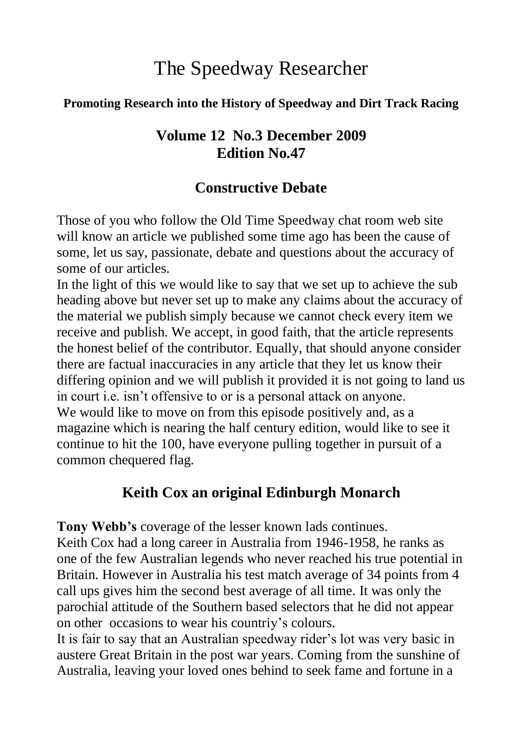# The Speedway Researcher

#### **Promoting Research into the History of Speedway and Dirt Track Racing**

## **Volume 12 No.3 December 2009 Edition No.47**

# **Constructive Debate**

Those of you who follow the Old Time Speedway chat room web site will know an article we published some time ago has been the cause of some, let us say, passionate, debate and questions about the accuracy of some of our articles.

In the light of this we would like to say that we set up to achieve the sub heading above but never set up to make any claims about the accuracy of the material we publish simply because we cannot check every item we receive and publish. We accept, in good faith, that the article represents the honest belief of the contributor. Equally, that should anyone consider there are factual inaccuracies in any article that they let us know their differing opinion and we will publish it provided it is not going to land us in court i.e. isn"t offensive to or is a personal attack on anyone. We would like to move on from this episode positively and, as a magazine which is nearing the half century edition, would like to see it continue to hit the 100, have everyone pulling together in pursuit of a common chequered flag.

# **Keith Cox an original Edinburgh Monarch**

**Tony Webb's** coverage of the lesser known lads continues.

Keith Cox had a long career in Australia from 1946-1958, he ranks as one of the few Australian legends who never reached his true potential in Britain. However in Australia his test match average of 34 points from 4 call ups gives him the second best average of all time. It was only the parochial attitude of the Southern based selectors that he did not appear on other occasions to wear his countriy"s colours.

It is fair to say that an Australian speedway rider"s lot was very basic in austere Great Britain in the post war years. Coming from the sunshine of Australia, leaving your loved ones behind to seek fame and fortune in a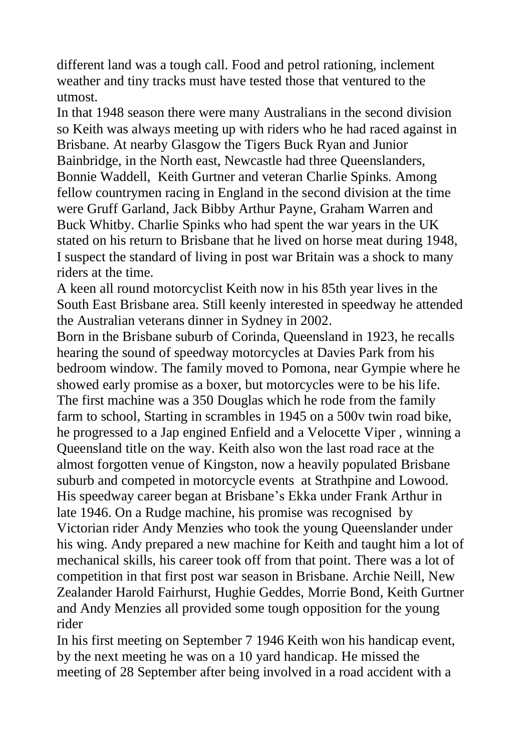different land was a tough call. Food and petrol rationing, inclement weather and tiny tracks must have tested those that ventured to the utmost.

In that 1948 season there were many Australians in the second division so Keith was always meeting up with riders who he had raced against in Brisbane. At nearby Glasgow the Tigers Buck Ryan and Junior Bainbridge, in the North east, Newcastle had three Queenslanders, Bonnie Waddell, Keith Gurtner and veteran Charlie Spinks. Among fellow countrymen racing in England in the second division at the time were Gruff Garland, Jack Bibby Arthur Payne, Graham Warren and Buck Whitby. Charlie Spinks who had spent the war years in the UK stated on his return to Brisbane that he lived on horse meat during 1948, I suspect the standard of living in post war Britain was a shock to many riders at the time.

A keen all round motorcyclist Keith now in his 85th year lives in the South East Brisbane area. Still keenly interested in speedway he attended the Australian veterans dinner in Sydney in 2002.

Born in the Brisbane suburb of Corinda, Queensland in 1923, he recalls hearing the sound of speedway motorcycles at Davies Park from his bedroom window. The family moved to Pomona, near Gympie where he showed early promise as a boxer, but motorcycles were to be his life. The first machine was a 350 Douglas which he rode from the family farm to school, Starting in scrambles in 1945 on a 500v twin road bike, he progressed to a Jap engined Enfield and a Velocette Viper , winning a Queensland title on the way. Keith also won the last road race at the almost forgotten venue of Kingston, now a heavily populated Brisbane suburb and competed in motorcycle events at Strathpine and Lowood. His speedway career began at Brisbane"s Ekka under Frank Arthur in late 1946. On a Rudge machine, his promise was recognised by Victorian rider Andy Menzies who took the young Queenslander under his wing. Andy prepared a new machine for Keith and taught him a lot of mechanical skills, his career took off from that point. There was a lot of competition in that first post war season in Brisbane. Archie Neill, New Zealander Harold Fairhurst, Hughie Geddes, Morrie Bond, Keith Gurtner and Andy Menzies all provided some tough opposition for the young rider

In his first meeting on September 7 1946 Keith won his handicap event, by the next meeting he was on a 10 yard handicap. He missed the meeting of 28 September after being involved in a road accident with a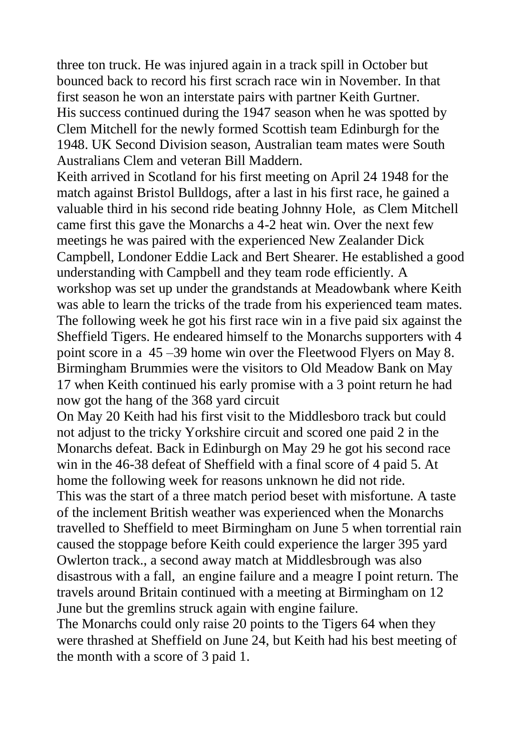three ton truck. He was injured again in a track spill in October but bounced back to record his first scrach race win in November. In that first season he won an interstate pairs with partner Keith Gurtner. His success continued during the 1947 season when he was spotted by Clem Mitchell for the newly formed Scottish team Edinburgh for the 1948. UK Second Division season, Australian team mates were South Australians Clem and veteran Bill Maddern.

Keith arrived in Scotland for his first meeting on April 24 1948 for the match against Bristol Bulldogs, after a last in his first race, he gained a valuable third in his second ride beating Johnny Hole, as Clem Mitchell came first this gave the Monarchs a 4-2 heat win. Over the next few meetings he was paired with the experienced New Zealander Dick Campbell, Londoner Eddie Lack and Bert Shearer. He established a good understanding with Campbell and they team rode efficiently. A workshop was set up under the grandstands at Meadowbank where Keith was able to learn the tricks of the trade from his experienced team mates. The following week he got his first race win in a five paid six against the Sheffield Tigers. He endeared himself to the Monarchs supporters with 4 point score in a 45 –39 home win over the Fleetwood Flyers on May 8. Birmingham Brummies were the visitors to Old Meadow Bank on May 17 when Keith continued his early promise with a 3 point return he had now got the hang of the 368 yard circuit

On May 20 Keith had his first visit to the Middlesboro track but could not adjust to the tricky Yorkshire circuit and scored one paid 2 in the Monarchs defeat. Back in Edinburgh on May 29 he got his second race win in the 46-38 defeat of Sheffield with a final score of 4 paid 5. At home the following week for reasons unknown he did not ride. This was the start of a three match period beset with misfortune. A taste of the inclement British weather was experienced when the Monarchs travelled to Sheffield to meet Birmingham on June 5 when torrential rain caused the stoppage before Keith could experience the larger 395 yard Owlerton track., a second away match at Middlesbrough was also disastrous with a fall, an engine failure and a meagre I point return. The travels around Britain continued with a meeting at Birmingham on 12

June but the gremlins struck again with engine failure.

The Monarchs could only raise 20 points to the Tigers 64 when they were thrashed at Sheffield on June 24, but Keith had his best meeting of the month with a score of 3 paid 1.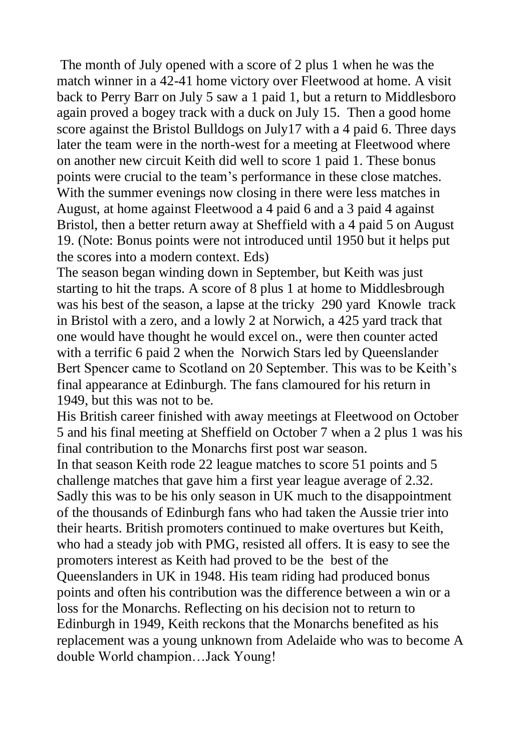The month of July opened with a score of 2 plus 1 when he was the match winner in a 42-41 home victory over Fleetwood at home. A visit back to Perry Barr on July 5 saw a 1 paid 1, but a return to Middlesboro again proved a bogey track with a duck on July 15. Then a good home score against the Bristol Bulldogs on July17 with a 4 paid 6. Three days later the team were in the north-west for a meeting at Fleetwood where on another new circuit Keith did well to score 1 paid 1. These bonus points were crucial to the team"s performance in these close matches. With the summer evenings now closing in there were less matches in August, at home against Fleetwood a 4 paid 6 and a 3 paid 4 against Bristol, then a better return away at Sheffield with a 4 paid 5 on August 19. (Note: Bonus points were not introduced until 1950 but it helps put the scores into a modern context. Eds)

The season began winding down in September, but Keith was just starting to hit the traps. A score of 8 plus 1 at home to Middlesbrough was his best of the season, a lapse at the tricky 290 yard Knowle track in Bristol with a zero, and a lowly 2 at Norwich, a 425 yard track that one would have thought he would excel on., were then counter acted with a terrific 6 paid 2 when the Norwich Stars led by Queenslander Bert Spencer came to Scotland on 20 September. This was to be Keith's final appearance at Edinburgh. The fans clamoured for his return in 1949, but this was not to be.

His British career finished with away meetings at Fleetwood on October 5 and his final meeting at Sheffield on October 7 when a 2 plus 1 was his final contribution to the Monarchs first post war season.

In that season Keith rode 22 league matches to score 51 points and 5 challenge matches that gave him a first year league average of 2.32. Sadly this was to be his only season in UK much to the disappointment of the thousands of Edinburgh fans who had taken the Aussie trier into their hearts. British promoters continued to make overtures but Keith, who had a steady job with PMG, resisted all offers. It is easy to see the promoters interest as Keith had proved to be the best of the Queenslanders in UK in 1948. His team riding had produced bonus points and often his contribution was the difference between a win or a loss for the Monarchs. Reflecting on his decision not to return to Edinburgh in 1949, Keith reckons that the Monarchs benefited as his replacement was a young unknown from Adelaide who was to become A double World champion…Jack Young!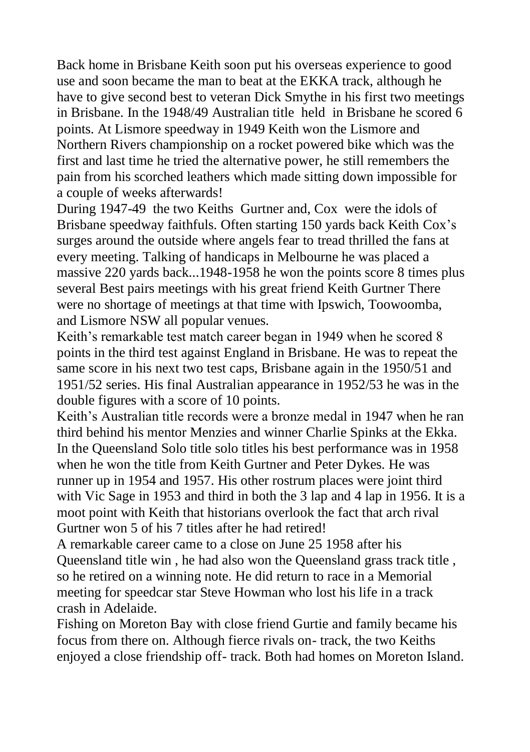Back home in Brisbane Keith soon put his overseas experience to good use and soon became the man to beat at the EKKA track, although he have to give second best to veteran Dick Smythe in his first two meetings in Brisbane. In the 1948/49 Australian title held in Brisbane he scored 6 points. At Lismore speedway in 1949 Keith won the Lismore and Northern Rivers championship on a rocket powered bike which was the first and last time he tried the alternative power, he still remembers the pain from his scorched leathers which made sitting down impossible for a couple of weeks afterwards!

During 1947-49 the two Keiths Gurtner and, Cox were the idols of Brisbane speedway faithfuls. Often starting 150 yards back Keith Cox"s surges around the outside where angels fear to tread thrilled the fans at every meeting. Talking of handicaps in Melbourne he was placed a massive 220 yards back...1948-1958 he won the points score 8 times plus several Best pairs meetings with his great friend Keith Gurtner There were no shortage of meetings at that time with Ipswich, Toowoomba, and Lismore NSW all popular venues.

Keith's remarkable test match career began in 1949 when he scored 8 points in the third test against England in Brisbane. He was to repeat the same score in his next two test caps, Brisbane again in the 1950/51 and 1951/52 series. His final Australian appearance in 1952/53 he was in the double figures with a score of 10 points.

Keith"s Australian title records were a bronze medal in 1947 when he ran third behind his mentor Menzies and winner Charlie Spinks at the Ekka. In the Queensland Solo title solo titles his best performance was in 1958 when he won the title from Keith Gurtner and Peter Dykes. He was runner up in 1954 and 1957. His other rostrum places were joint third with Vic Sage in 1953 and third in both the 3 lap and 4 lap in 1956. It is a moot point with Keith that historians overlook the fact that arch rival Gurtner won 5 of his 7 titles after he had retired!

A remarkable career came to a close on June 25 1958 after his Queensland title win , he had also won the Queensland grass track title , so he retired on a winning note. He did return to race in a Memorial meeting for speedcar star Steve Howman who lost his life in a track crash in Adelaide.

Fishing on Moreton Bay with close friend Gurtie and family became his focus from there on. Although fierce rivals on- track, the two Keiths enjoyed a close friendship off- track. Both had homes on Moreton Island.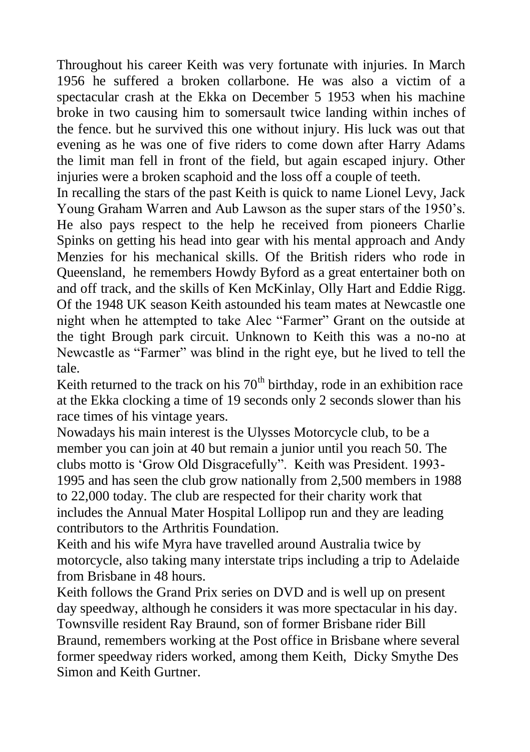Throughout his career Keith was very fortunate with injuries. In March 1956 he suffered a broken collarbone. He was also a victim of a spectacular crash at the Ekka on December 5 1953 when his machine broke in two causing him to somersault twice landing within inches of the fence. but he survived this one without injury. His luck was out that evening as he was one of five riders to come down after Harry Adams the limit man fell in front of the field, but again escaped injury. Other injuries were a broken scaphoid and the loss off a couple of teeth.

In recalling the stars of the past Keith is quick to name Lionel Levy, Jack Young Graham Warren and Aub Lawson as the super stars of the 1950"s. He also pays respect to the help he received from pioneers Charlie Spinks on getting his head into gear with his mental approach and Andy Menzies for his mechanical skills. Of the British riders who rode in Queensland, he remembers Howdy Byford as a great entertainer both on and off track, and the skills of Ken McKinlay, Olly Hart and Eddie Rigg. Of the 1948 UK season Keith astounded his team mates at Newcastle one night when he attempted to take Alec "Farmer" Grant on the outside at the tight Brough park circuit. Unknown to Keith this was a no-no at Newcastle as "Farmer" was blind in the right eye, but he lived to tell the tale.

Keith returned to the track on his  $70<sup>th</sup>$  birthday, rode in an exhibition race at the Ekka clocking a time of 19 seconds only 2 seconds slower than his race times of his vintage years.

Nowadays his main interest is the Ulysses Motorcycle club, to be a member you can join at 40 but remain a junior until you reach 50. The clubs motto is "Grow Old Disgracefully". Keith was President. 1993- 1995 and has seen the club grow nationally from 2,500 members in 1988 to 22,000 today. The club are respected for their charity work that includes the Annual Mater Hospital Lollipop run and they are leading contributors to the Arthritis Foundation.

Keith and his wife Myra have travelled around Australia twice by motorcycle, also taking many interstate trips including a trip to Adelaide from Brisbane in 48 hours.

Keith follows the Grand Prix series on DVD and is well up on present day speedway, although he considers it was more spectacular in his day. Townsville resident Ray Braund, son of former Brisbane rider Bill Braund, remembers working at the Post office in Brisbane where several former speedway riders worked, among them Keith, Dicky Smythe Des Simon and Keith Gurtner.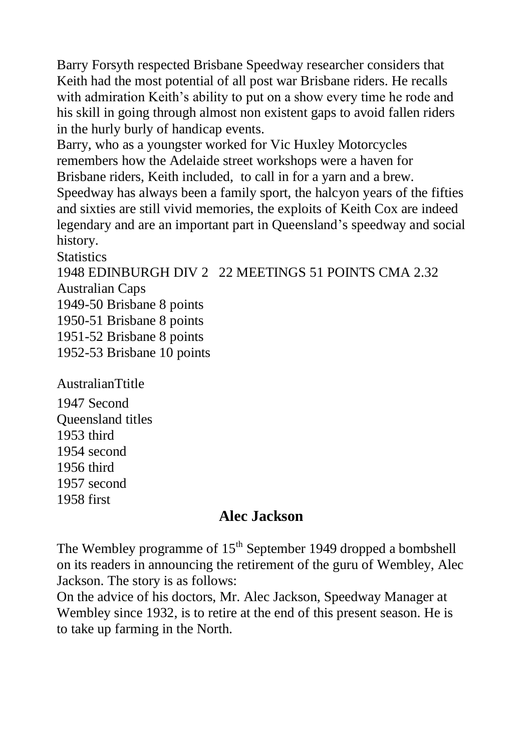Barry Forsyth respected Brisbane Speedway researcher considers that Keith had the most potential of all post war Brisbane riders. He recalls with admiration Keith's ability to put on a show every time he rode and his skill in going through almost non existent gaps to avoid fallen riders in the hurly burly of handicap events.

Barry, who as a youngster worked for Vic Huxley Motorcycles remembers how the Adelaide street workshops were a haven for Brisbane riders, Keith included, to call in for a yarn and a brew. Speedway has always been a family sport, the halcyon years of the fifties and sixties are still vivid memories, the exploits of Keith Cox are indeed legendary and are an important part in Queensland"s speedway and social history.

**Statistics** 1948 EDINBURGH DIV 2 22 MEETINGS 51 POINTS CMA 2.32 Australian Caps 1949-50 Brisbane 8 points 1950-51 Brisbane 8 points 1951-52 Brisbane 8 points 1952-53 Brisbane 10 points

AustralianTtitle 1947 Second Queensland titles 1953 third 1954 second 1956 third 1957 second

1958 first

#### **Alec Jackson**

The Wembley programme of  $15<sup>th</sup>$  September 1949 dropped a bombshell on its readers in announcing the retirement of the guru of Wembley, Alec Jackson. The story is as follows:

On the advice of his doctors, Mr. Alec Jackson, Speedway Manager at Wembley since 1932, is to retire at the end of this present season. He is to take up farming in the North.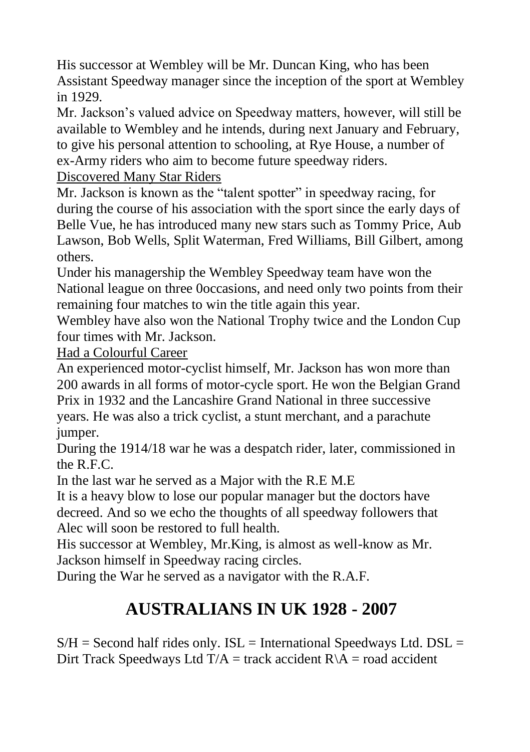His successor at Wembley will be Mr. Duncan King, who has been Assistant Speedway manager since the inception of the sport at Wembley in 1929.

Mr. Jackson"s valued advice on Speedway matters, however, will still be available to Wembley and he intends, during next January and February, to give his personal attention to schooling, at Rye House, a number of ex-Army riders who aim to become future speedway riders.

Discovered Many Star Riders

Mr. Jackson is known as the "talent spotter" in speedway racing, for during the course of his association with the sport since the early days of Belle Vue, he has introduced many new stars such as Tommy Price, Aub Lawson, Bob Wells, Split Waterman, Fred Williams, Bill Gilbert, among others.

Under his managership the Wembley Speedway team have won the National league on three 0occasions, and need only two points from their remaining four matches to win the title again this year.

Wembley have also won the National Trophy twice and the London Cup four times with Mr. Jackson.

Had a Colourful Career

An experienced motor-cyclist himself, Mr. Jackson has won more than 200 awards in all forms of motor-cycle sport. He won the Belgian Grand Prix in 1932 and the Lancashire Grand National in three successive years. He was also a trick cyclist, a stunt merchant, and a parachute jumper.

During the 1914/18 war he was a despatch rider, later, commissioned in the  $R$  F.C.

In the last war he served as a Major with the R.E M.E

It is a heavy blow to lose our popular manager but the doctors have decreed. And so we echo the thoughts of all speedway followers that Alec will soon be restored to full health.

His successor at Wembley, Mr.King, is almost as well-know as Mr. Jackson himself in Speedway racing circles.

During the War he served as a navigator with the R.A.F.

# **AUSTRALIANS IN UK 1928 - 2007**

 $S/H =$  Second half rides only. ISL = International Speedways Ltd. DSL = Dirt Track Speedways Ltd  $T/A$  = track accident  $R\A$  = road accident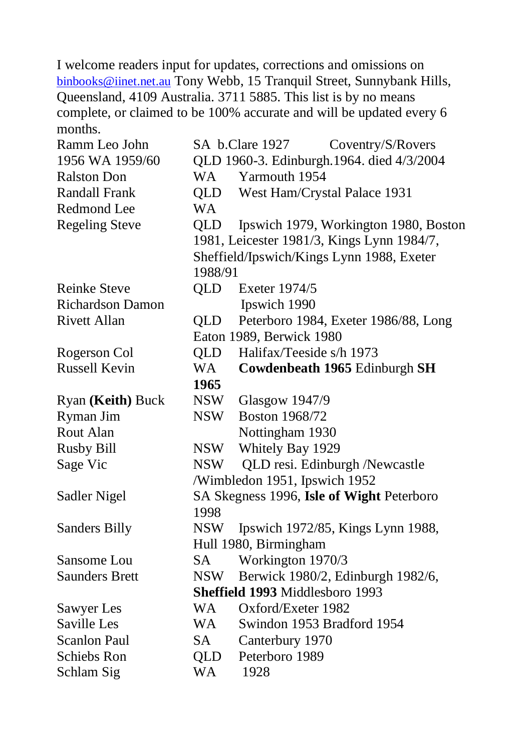I welcome readers input for updates, corrections and omissions on [binbooks@iinet.net.au](mailto:binbooks@iinet.net.au) Tony Webb, 15 Tranquil Street, Sunnybank Hills, Queensland, 4109 Australia. 3711 5885. This list is by no means complete, or claimed to be 100% accurate and will be updated every 6 months.

| Ramm Leo John                   |            | SA b.Clare 1927<br>Coventry/S/Rovers       |  |  |
|---------------------------------|------------|--------------------------------------------|--|--|
| 1956 WA 1959/60                 |            | QLD 1960-3. Edinburgh.1964. died 4/3/2004  |  |  |
| <b>Ralston Don</b>              | WA         | Yarmouth 1954                              |  |  |
| <b>Randall Frank</b>            | QLD        | West Ham/Crystal Palace 1931               |  |  |
| Redmond Lee                     | <b>WA</b>  |                                            |  |  |
| <b>Regeling Steve</b>           | <b>QLD</b> | Ipswich 1979, Workington 1980, Boston      |  |  |
|                                 |            | 1981, Leicester 1981/3, Kings Lynn 1984/7, |  |  |
|                                 |            | Sheffield/Ipswich/Kings Lynn 1988, Exeter  |  |  |
|                                 | 1988/91    |                                            |  |  |
| <b>Reinke Steve</b>             | QLD        | Exeter 1974/5                              |  |  |
| <b>Richardson Damon</b>         |            | Ipswich 1990                               |  |  |
| <b>Rivett Allan</b>             | QLD.       | Peterboro 1984, Exeter 1986/88, Long       |  |  |
|                                 |            | Eaton 1989, Berwick 1980                   |  |  |
| Rogerson Col                    | QLD        | Halifax/Teeside s/h 1973                   |  |  |
| <b>Russell Kevin</b>            | WA         | Cowdenbeath 1965 Edinburgh SH              |  |  |
|                                 | 1965       |                                            |  |  |
| Ryan (Keith) Buck               | NSW        | <b>Glasgow 1947/9</b>                      |  |  |
| Ryman Jim                       | <b>NSW</b> | <b>Boston 1968/72</b>                      |  |  |
| Rout Alan                       |            | Nottingham 1930                            |  |  |
| <b>Rusby Bill</b>               | <b>NSW</b> | Whitely Bay 1929                           |  |  |
| Sage Vic                        | <b>NSW</b> | QLD resi. Edinburgh /Newcastle             |  |  |
|                                 |            | /Wimbledon 1951, Ipswich 1952              |  |  |
| Sadler Nigel                    |            | SA Skegness 1996, Isle of Wight Peterboro  |  |  |
|                                 | 1998       |                                            |  |  |
| Sanders Billy                   | <b>NSW</b> | Ipswich 1972/85, Kings Lynn 1988,          |  |  |
|                                 |            | Hull 1980, Birmingham                      |  |  |
| Sansome Lou                     | <b>SA</b>  | Workington 1970/3                          |  |  |
| <b>Saunders Brett</b>           | NSW        | Berwick 1980/2, Edinburgh 1982/6,          |  |  |
| Sheffield 1993 Middlesboro 1993 |            |                                            |  |  |
| Sawyer Les                      | WA         | Oxford/Exeter 1982                         |  |  |
| Saville Les                     | WA         | Swindon 1953 Bradford 1954                 |  |  |
| <b>Scanlon Paul</b>             | SA         | Canterbury 1970                            |  |  |
| Schiebs Ron                     | <b>QLD</b> | Peterboro 1989                             |  |  |
| Schlam Sig                      | <b>WA</b>  | 1928                                       |  |  |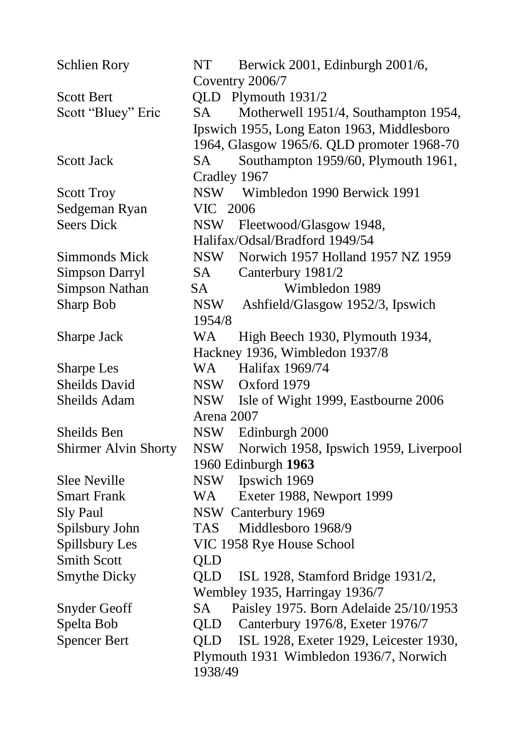| <b>Schlien Rory</b>         | <b>NT</b><br>Berwick 2001, Edinburgh 2001/6,<br>Coventry 2006/7 |
|-----------------------------|-----------------------------------------------------------------|
| <b>Scott Bert</b>           | QLD Plymouth 1931/2                                             |
| Scott "Bluey" Eric          | <b>SA</b><br>Motherwell 1951/4, Southampton 1954,               |
|                             | Ipswich 1955, Long Eaton 1963, Middlesboro                      |
|                             | 1964, Glasgow 1965/6. QLD promoter 1968-70                      |
| <b>Scott Jack</b>           | Southampton 1959/60, Plymouth 1961,<br><b>SA</b>                |
|                             | Cradley 1967                                                    |
| <b>Scott Troy</b>           | Wimbledon 1990 Berwick 1991<br><b>NSW</b>                       |
| Sedgeman Ryan               | VIC<br>2006                                                     |
| <b>Seers Dick</b>           | Fleetwood/Glasgow 1948,<br><b>NSW</b>                           |
|                             | Halifax/Odsal/Bradford 1949/54                                  |
| <b>Simmonds Mick</b>        | <b>NSW</b><br>Norwich 1957 Holland 1957 NZ 1959                 |
| Simpson Darryl              | <b>SA</b><br>Canterbury 1981/2                                  |
| <b>Simpson Nathan</b>       | <b>SA</b><br>Wimbledon 1989                                     |
| Sharp Bob                   | <b>NSW</b><br>Ashfield/Glasgow 1952/3, Ipswich                  |
|                             | 1954/8                                                          |
| Sharpe Jack                 | <b>WA</b><br>High Beech 1930, Plymouth 1934,                    |
|                             | Hackney 1936, Wimbledon 1937/8                                  |
| Sharpe Les                  | WA<br>Halifax 1969/74                                           |
| Sheilds David               | <b>NSW</b><br>Oxford 1979                                       |
| Sheilds Adam                | Isle of Wight 1999, Eastbourne 2006<br><b>NSW</b>               |
|                             | Arena 2007                                                      |
| Sheilds Ben                 | NSW Edinburgh 2000                                              |
| <b>Shirmer Alvin Shorty</b> | <b>NSW</b><br>Norwich 1958, Ipswich 1959, Liverpool             |
|                             | 1960 Edinburgh 1963                                             |
| <b>Slee Neville</b>         | Ipswich 1969<br><b>NSW</b>                                      |
| <b>Smart Frank</b>          | Exeter 1988, Newport 1999<br><b>WA</b>                          |
| Sly Paul                    | NSW Canterbury 1969                                             |
| Spilsbury John              | Middlesboro 1968/9<br>TAS                                       |
| Spillsbury Les              | VIC 1958 Rye House School                                       |
| <b>Smith Scott</b>          | <b>QLD</b>                                                      |
| <b>Smythe Dicky</b>         | QLD<br>ISL 1928, Stamford Bridge 1931/2,                        |
|                             | Wembley 1935, Harringay 1936/7                                  |
| Snyder Geoff                | Paisley 1975. Born Adelaide 25/10/1953<br>SA                    |
| Spelta Bob                  | Canterbury 1976/8, Exeter 1976/7<br>QLD                         |
| <b>Spencer Bert</b>         | ISL 1928, Exeter 1929, Leicester 1930,<br><b>QLD</b>            |
|                             | Plymouth 1931 Wimbledon 1936/7, Norwich                         |
|                             | 1938/49                                                         |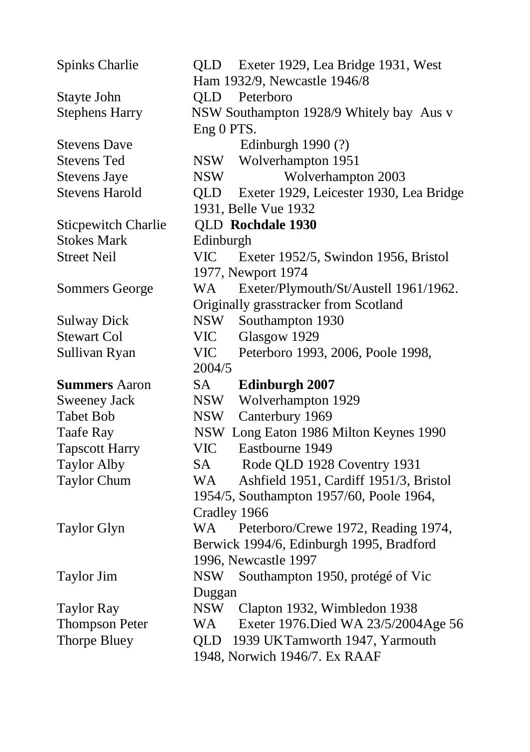Spinks Charlie **OLD** Exeter 1929, Lea Bridge 1931, West Ham 1932/9, Newcastle 1946/8 Stayte John QLD Peterboro Stephens Harry NSW Southampton 1928/9 Whitely bay Aus v Eng 0 PTS. Stevens Dave Edinburgh 1990 (?) Stevens Ted NSW Wolverhampton 1951 Stevens Jave NSW Wolverhampton 2003 Stevens Harold QLD Exeter 1929, Leicester 1930, Lea Bridge 1931, Belle Vue 1932 Sticpewitch Charlie QLD **Rochdale 1930** Stokes Mark Edinburgh Street Neil VIC Exeter 1952/5, Swindon 1956, Bristol 1977, Newport 1974 Sommers George WA Exeter/Plymouth/St/Austell 1961/1962. Originally grasstracker from Scotland Sulway Dick NSW Southampton 1930 Stewart Col VIC Glasgow 1929 Sullivan Ryan VIC Peterboro 1993, 2006, Poole 1998, 2004/5 **Summers** Aaron SA **Edinburgh 2007** Sweeney Jack NSW Wolverhampton 1929 Tabet Bob NSW Canterbury 1969 Taafe Ray NSW Long Eaton 1986 Milton Keynes 1990 Tapscott Harry VIC Eastbourne 1949 Taylor Alby SA Rode QLD 1928 Coventry 1931 Taylor Chum WA Ashfield 1951, Cardiff 1951/3, Bristol 1954/5, Southampton 1957/60, Poole 1964, Cradley 1966 Taylor Glyn WA Peterboro/Crewe 1972, Reading 1974, Berwick 1994/6, Edinburgh 1995, Bradford 1996, Newcastle 1997 Taylor Jim NSW Southampton 1950, protégé of Vic Duggan Taylor Ray NSW Clapton 1932, Wimbledon 1938 Thompson Peter WA Exeter 1976.Died WA 23/5/2004Age 56 Thorpe Bluey QLD 1939 UKTamworth 1947, Yarmouth 1948, Norwich 1946/7. Ex RAAF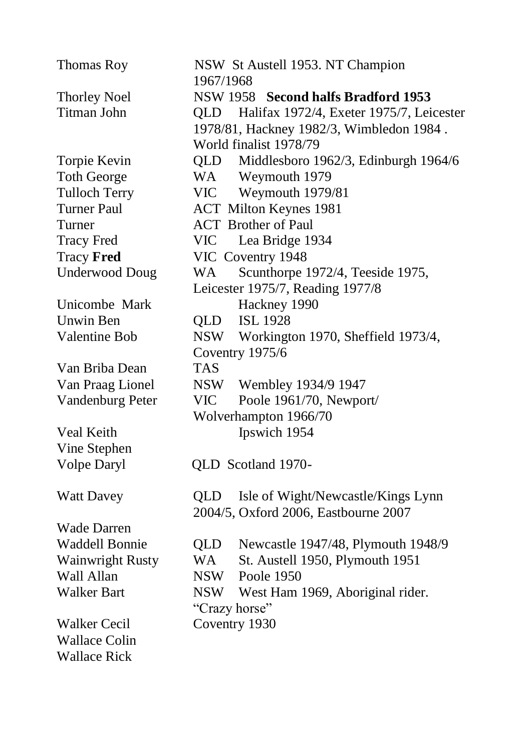| Thomas Roy              | 1967/1968  | NSW St Austell 1953. NT Champion             |  |  |
|-------------------------|------------|----------------------------------------------|--|--|
| <b>Thorley Noel</b>     |            | NSW 1958 Second halfs Bradford 1953          |  |  |
| <b>Titman John</b>      |            | QLD Halifax 1972/4, Exeter 1975/7, Leicester |  |  |
|                         |            | 1978/81, Hackney 1982/3, Wimbledon 1984.     |  |  |
|                         |            | World finalist 1978/79                       |  |  |
| Torpie Kevin            | QLD        | Middlesboro 1962/3, Edinburgh 1964/6         |  |  |
| <b>Toth George</b>      |            | WA Weymouth 1979                             |  |  |
| <b>Tulloch Terry</b>    |            | VIC Weymouth 1979/81                         |  |  |
| <b>Turner Paul</b>      |            | <b>ACT</b> Milton Keynes 1981                |  |  |
| Turner                  |            | <b>ACT</b> Brother of Paul                   |  |  |
| <b>Tracy Fred</b>       |            | VIC Lea Bridge 1934                          |  |  |
| <b>Tracy Fred</b>       |            | VIC Coventry 1948                            |  |  |
| <b>Underwood Doug</b>   | WA         | Scunthorpe 1972/4, Teeside 1975,             |  |  |
|                         |            | Leicester 1975/7, Reading 1977/8             |  |  |
| Unicombe Mark           |            | Hackney 1990                                 |  |  |
| <b>Unwin Ben</b>        |            | QLD ISL 1928                                 |  |  |
| Valentine Bob           |            | NSW Workington 1970, Sheffield 1973/4,       |  |  |
|                         |            | Coventry 1975/6                              |  |  |
| Van Briba Dean          | <b>TAS</b> |                                              |  |  |
| Van Praag Lionel        | <b>NSW</b> | Wembley 1934/9 1947                          |  |  |
| Vandenburg Peter        | <b>VIC</b> | Poole 1961/70, Newport/                      |  |  |
|                         |            | Wolverhampton 1966/70                        |  |  |
| Veal Keith              |            | Ipswich 1954                                 |  |  |
| Vine Stephen            |            |                                              |  |  |
| <b>Volpe Daryl</b>      |            | QLD Scotland 1970-                           |  |  |
| <b>Watt Davey</b>       | <b>QLD</b> | Isle of Wight/Newcastle/Kings Lynn           |  |  |
|                         |            | 2004/5, Oxford 2006, Eastbourne 2007         |  |  |
| <b>Wade Darren</b>      |            |                                              |  |  |
| <b>Waddell Bonnie</b>   | QLD        | Newcastle 1947/48, Plymouth 1948/9           |  |  |
| <b>Wainwright Rusty</b> | WA         | St. Austell 1950, Plymouth 1951              |  |  |
| Wall Allan              |            | NSW Poole 1950                               |  |  |
| <b>Walker Bart</b>      |            | NSW West Ham 1969, Aboriginal rider.         |  |  |
|                         |            | "Crazy horse"                                |  |  |
| <b>Walker Cecil</b>     |            | Coventry 1930                                |  |  |
| <b>Wallace Colin</b>    |            |                                              |  |  |
| <b>Wallace Rick</b>     |            |                                              |  |  |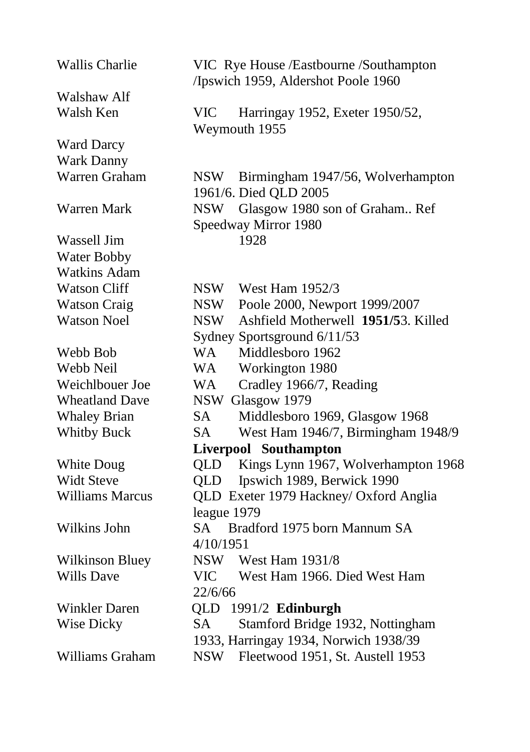| <b>Wallis Charlie</b>  | VIC Rye House /Eastbourne /Southampton<br>/Ipswich 1959, Aldershot Poole 1960 |  |  |
|------------------------|-------------------------------------------------------------------------------|--|--|
| Walshaw Alf            |                                                                               |  |  |
| Walsh Ken              | <b>VIC</b><br>Harringay 1952, Exeter 1950/52,<br>Weymouth 1955                |  |  |
| <b>Ward Darcy</b>      |                                                                               |  |  |
| Wark Danny             |                                                                               |  |  |
| Warren Graham          | NSW Birmingham 1947/56, Wolverhampton<br>1961/6. Died QLD 2005                |  |  |
| Warren Mark            | NSW Glasgow 1980 son of Graham Ref                                            |  |  |
|                        | Speedway Mirror 1980                                                          |  |  |
| Wassell Jim            | 1928                                                                          |  |  |
| Water Bobby            |                                                                               |  |  |
| <b>Watkins Adam</b>    |                                                                               |  |  |
| <b>Watson Cliff</b>    | <b>NSW</b><br>West Ham 1952/3                                                 |  |  |
| <b>Watson Craig</b>    | <b>NSW</b><br>Poole 2000, Newport 1999/2007                                   |  |  |
| <b>Watson Noel</b>     | Ashfield Motherwell 1951/53. Killed<br><b>NSW</b>                             |  |  |
|                        | Sydney Sportsground 6/11/53                                                   |  |  |
| Webb Bob               | Middlesboro 1962<br>WA                                                        |  |  |
| Webb Neil              | <b>WA</b><br>Workington 1980                                                  |  |  |
| Weichlbouer Joe        | Cradley 1966/7, Reading<br>WA                                                 |  |  |
| <b>Wheatland Dave</b>  | NSW Glasgow 1979                                                              |  |  |
| <b>Whaley Brian</b>    | SA<br>Middlesboro 1969, Glasgow 1968                                          |  |  |
| <b>Whitby Buck</b>     | West Ham 1946/7, Birmingham 1948/9<br>SA                                      |  |  |
|                        | Liverpool Southampton                                                         |  |  |
| White Doug             | Kings Lynn 1967, Wolverhampton 1968<br><b>QLD</b>                             |  |  |
| <b>Widt Steve</b>      | Ipswich 1989, Berwick 1990<br><b>QLD</b>                                      |  |  |
| <b>Williams Marcus</b> | QLD Exeter 1979 Hackney/ Oxford Anglia                                        |  |  |
|                        | league 1979                                                                   |  |  |
| Wilkins John           | SA.<br>Bradford 1975 born Mannum SA                                           |  |  |
|                        | 4/10/1951                                                                     |  |  |
| <b>Wilkinson Bluey</b> | NSW West Ham 1931/8                                                           |  |  |
| <b>Wills Dave</b>      | <b>VIC</b><br>West Ham 1966. Died West Ham                                    |  |  |
|                        | 22/6/66                                                                       |  |  |
| Winkler Daren          | QLD 1991/2 Edinburgh                                                          |  |  |
| Wise Dicky             | Stamford Bridge 1932, Nottingham<br>SA.                                       |  |  |
|                        | 1933, Harringay 1934, Norwich 1938/39                                         |  |  |
| Williams Graham        | <b>NSW</b><br>Fleetwood 1951, St. Austell 1953                                |  |  |
|                        |                                                                               |  |  |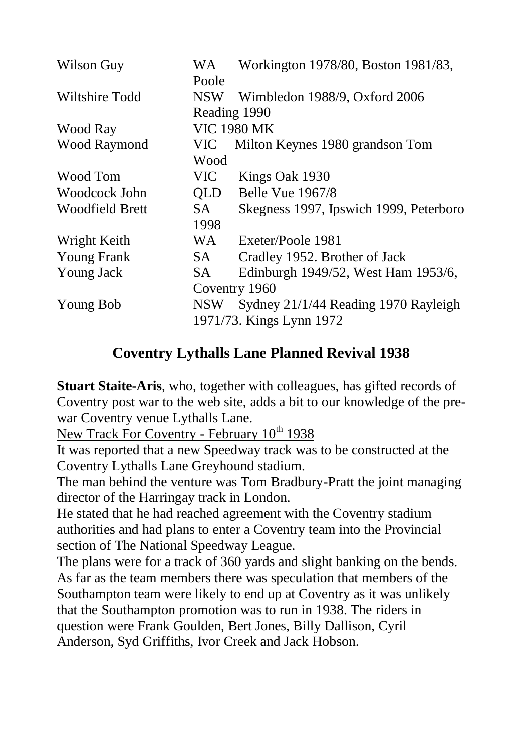| Wilson Guy             | WA         | Workington 1978/80, Boston 1981/83,    |  |  |
|------------------------|------------|----------------------------------------|--|--|
|                        | Poole      |                                        |  |  |
| Wiltshire Todd         |            | NSW Wimbledon 1988/9, Oxford 2006      |  |  |
|                        |            | Reading 1990                           |  |  |
| Wood Ray               |            | <b>VIC 1980 MK</b>                     |  |  |
| Wood Raymond           | VIC-       | Milton Keynes 1980 grandson Tom        |  |  |
|                        | Wood       |                                        |  |  |
| Wood Tom               | VIC        | Kings Oak 1930                         |  |  |
| Woodcock John          | QLD        | Belle Vue 1967/8                       |  |  |
| <b>Woodfield Brett</b> | SA -       | Skegness 1997, Ipswich 1999, Peterboro |  |  |
|                        | 1998       |                                        |  |  |
| Wright Keith           | WA         | Exeter/Poole 1981                      |  |  |
| <b>Young Frank</b>     | SA -       | Cradley 1952. Brother of Jack          |  |  |
| Young Jack             | SA.        | Edinburgh 1949/52, West Ham 1953/6,    |  |  |
|                        |            | Coventry 1960                          |  |  |
| Young Bob              | <b>NSW</b> | Sydney 21/1/44 Reading 1970 Rayleigh   |  |  |
|                        |            | 1971/73. Kings Lynn 1972               |  |  |

# **Coventry Lythalls Lane Planned Revival 1938**

**Stuart Staite-Aris**, who, together with colleagues, has gifted records of Coventry post war to the web site, adds a bit to our knowledge of the prewar Coventry venue Lythalls Lane.

New Track For Coventry - February  $10^{th}$  1938

It was reported that a new Speedway track was to be constructed at the Coventry Lythalls Lane Greyhound stadium.

The man behind the venture was Tom Bradbury-Pratt the joint managing director of the Harringay track in London.

He stated that he had reached agreement with the Coventry stadium authorities and had plans to enter a Coventry team into the Provincial section of The National Speedway League.

The plans were for a track of 360 yards and slight banking on the bends. As far as the team members there was speculation that members of the Southampton team were likely to end up at Coventry as it was unlikely that the Southampton promotion was to run in 1938. The riders in question were Frank Goulden, Bert Jones, Billy Dallison, Cyril Anderson, Syd Griffiths, Ivor Creek and Jack Hobson.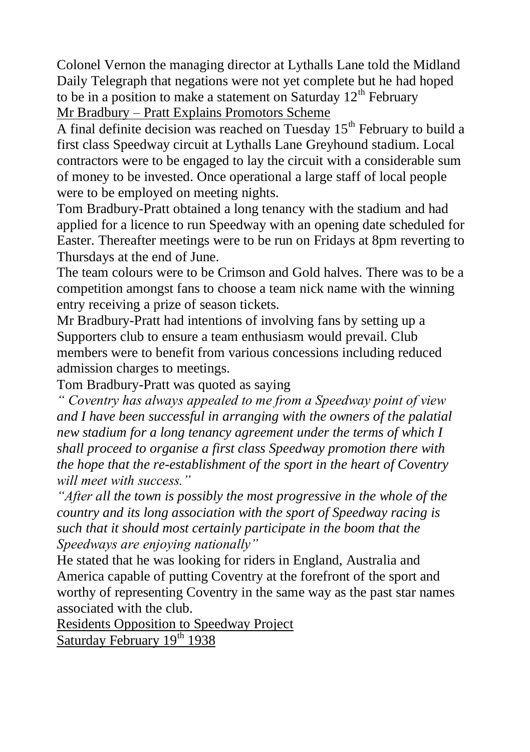Colonel Vernon the managing director at Lythalls Lane told the Midland Daily Telegraph that negations were not yet complete but he had hoped to be in a position to make a statement on Saturday  $12<sup>th</sup>$  February Mr Bradbury – Pratt Explains Promotors Scheme

A final definite decision was reached on Tuesday  $15<sup>th</sup>$  February to build a first class Speedway circuit at Lythalls Lane Greyhound stadium. Local contractors were to be engaged to lay the circuit with a considerable sum of money to be invested. Once operational a large staff of local people were to be employed on meeting nights.

Tom Bradbury-Pratt obtained a long tenancy with the stadium and had applied for a licence to run Speedway with an opening date scheduled for Easter. Thereafter meetings were to be run on Fridays at 8pm reverting to Thursdays at the end of June.

The team colours were to be Crimson and Gold halves. There was to be a competition amongst fans to choose a team nick name with the winning entry receiving a prize of season tickets.

Mr Bradbury-Pratt had intentions of involving fans by setting up a Supporters club to ensure a team enthusiasm would prevail. Club members were to benefit from various concessions including reduced admission charges to meetings.

Tom Bradbury-Pratt was quoted as saying

*" Coventry has always appealed to me from a Speedway point of view and I have been successful in arranging with the owners of the palatial new stadium for a long tenancy agreement under the terms of which I shall proceed to organise a first class Speedway promotion there with the hope that the re-establishment of the sport in the heart of Coventry will meet with success."*

*"After all the town is possibly the most progressive in the whole of the country and its long association with the sport of Speedway racing is such that it should most certainly participate in the boom that the Speedways are enjoying nationally"* 

He stated that he was looking for riders in England, Australia and America capable of putting Coventry at the forefront of the sport and worthy of representing Coventry in the same way as the past star names associated with the club.

Residents Opposition to Speedway Project Saturday February 19th 1938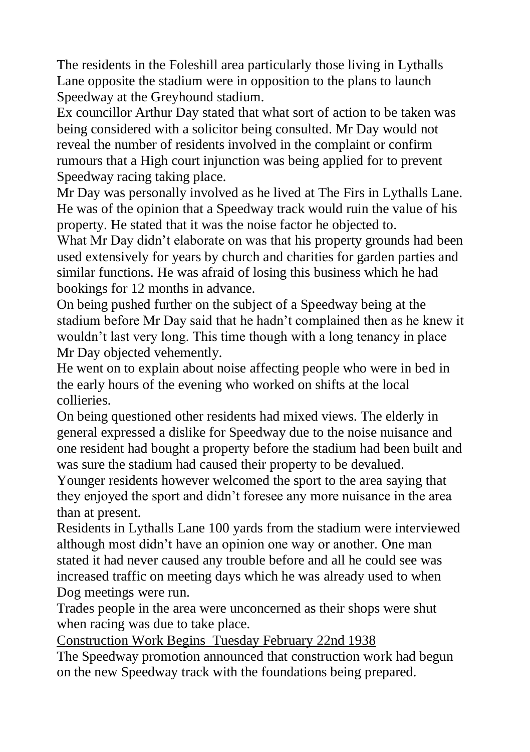The residents in the Foleshill area particularly those living in Lythalls Lane opposite the stadium were in opposition to the plans to launch Speedway at the Greyhound stadium.

Ex councillor Arthur Day stated that what sort of action to be taken was being considered with a solicitor being consulted. Mr Day would not reveal the number of residents involved in the complaint or confirm rumours that a High court injunction was being applied for to prevent Speedway racing taking place.

Mr Day was personally involved as he lived at The Firs in Lythalls Lane. He was of the opinion that a Speedway track would ruin the value of his property. He stated that it was the noise factor he objected to.

What Mr Day didn't elaborate on was that his property grounds had been used extensively for years by church and charities for garden parties and similar functions. He was afraid of losing this business which he had bookings for 12 months in advance.

On being pushed further on the subject of a Speedway being at the stadium before Mr Day said that he hadn"t complained then as he knew it wouldn"t last very long. This time though with a long tenancy in place Mr Day objected vehemently.

He went on to explain about noise affecting people who were in bed in the early hours of the evening who worked on shifts at the local collieries.

On being questioned other residents had mixed views. The elderly in general expressed a dislike for Speedway due to the noise nuisance and one resident had bought a property before the stadium had been built and was sure the stadium had caused their property to be devalued.

Younger residents however welcomed the sport to the area saying that they enjoyed the sport and didn"t foresee any more nuisance in the area than at present.

Residents in Lythalls Lane 100 yards from the stadium were interviewed although most didn"t have an opinion one way or another. One man stated it had never caused any trouble before and all he could see was increased traffic on meeting days which he was already used to when Dog meetings were run.

Trades people in the area were unconcerned as their shops were shut when racing was due to take place.

Construction Work Begins Tuesday February 22nd 1938 The Speedway promotion announced that construction work had begun on the new Speedway track with the foundations being prepared.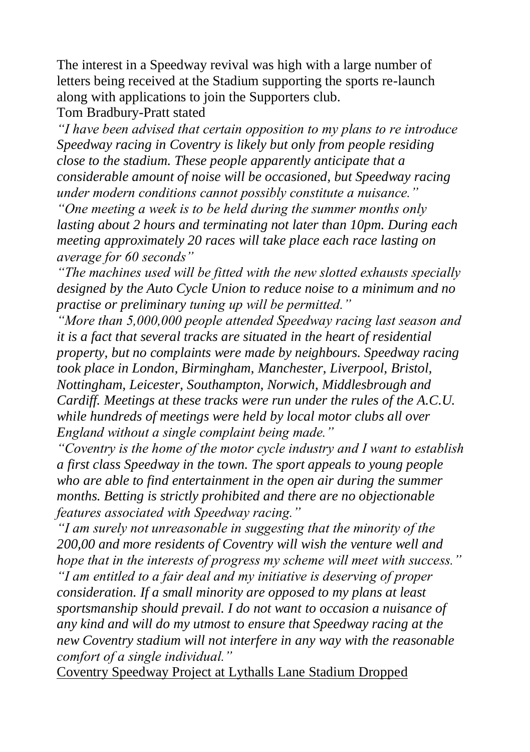The interest in a Speedway revival was high with a large number of letters being received at the Stadium supporting the sports re-launch along with applications to join the Supporters club.

Tom Bradbury-Pratt stated

*"I have been advised that certain opposition to my plans to re introduce Speedway racing in Coventry is likely but only from people residing close to the stadium. These people apparently anticipate that a considerable amount of noise will be occasioned, but Speedway racing under modern conditions cannot possibly constitute a nuisance."*

*"One meeting a week is to be held during the summer months only lasting about 2 hours and terminating not later than 10pm. During each meeting approximately 20 races will take place each race lasting on average for 60 seconds"*

*"The machines used will be fitted with the new slotted exhausts specially designed by the Auto Cycle Union to reduce noise to a minimum and no practise or preliminary tuning up will be permitted."*

*"More than 5,000,000 people attended Speedway racing last season and it is a fact that several tracks are situated in the heart of residential property, but no complaints were made by neighbours. Speedway racing took place in London, Birmingham, Manchester, Liverpool, Bristol, Nottingham, Leicester, Southampton, Norwich, Middlesbrough and Cardiff. Meetings at these tracks were run under the rules of the A.C.U. while hundreds of meetings were held by local motor clubs all over England without a single complaint being made."*

*"Coventry is the home of the motor cycle industry and I want to establish a first class Speedway in the town. The sport appeals to young people who are able to find entertainment in the open air during the summer months. Betting is strictly prohibited and there are no objectionable features associated with Speedway racing."*

*"I am surely not unreasonable in suggesting that the minority of the 200,00 and more residents of Coventry will wish the venture well and hope that in the interests of progress my scheme will meet with success." "I am entitled to a fair deal and my initiative is deserving of proper consideration. If a small minority are opposed to my plans at least sportsmanship should prevail. I do not want to occasion a nuisance of any kind and will do my utmost to ensure that Speedway racing at the new Coventry stadium will not interfere in any way with the reasonable comfort of a single individual."*

Coventry Speedway Project at Lythalls Lane Stadium Dropped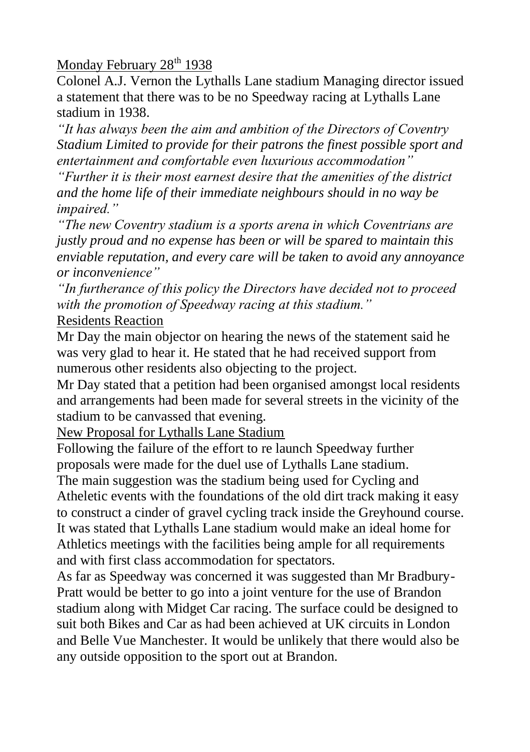# Monday February  $28<sup>th</sup> 1938$

Colonel A.J. Vernon the Lythalls Lane stadium Managing director issued a statement that there was to be no Speedway racing at Lythalls Lane stadium in 1938.

*"It has always been the aim and ambition of the Directors of Coventry Stadium Limited to provide for their patrons the finest possible sport and entertainment and comfortable even luxurious accommodation"*

*"Further it is their most earnest desire that the amenities of the district and the home life of their immediate neighbours should in no way be impaired."*

*"The new Coventry stadium is a sports arena in which Coventrians are justly proud and no expense has been or will be spared to maintain this enviable reputation, and every care will be taken to avoid any annoyance or inconvenience"*

*"In furtherance of this policy the Directors have decided not to proceed with the promotion of Speedway racing at this stadium."*

#### Residents Reaction

Mr Day the main objector on hearing the news of the statement said he was very glad to hear it. He stated that he had received support from numerous other residents also objecting to the project.

Mr Day stated that a petition had been organised amongst local residents and arrangements had been made for several streets in the vicinity of the stadium to be canvassed that evening.

New Proposal for Lythalls Lane Stadium

Following the failure of the effort to re launch Speedway further proposals were made for the duel use of Lythalls Lane stadium.

The main suggestion was the stadium being used for Cycling and Atheletic events with the foundations of the old dirt track making it easy to construct a cinder of gravel cycling track inside the Greyhound course. It was stated that Lythalls Lane stadium would make an ideal home for Athletics meetings with the facilities being ample for all requirements and with first class accommodation for spectators.

As far as Speedway was concerned it was suggested than Mr Bradbury-Pratt would be better to go into a joint venture for the use of Brandon stadium along with Midget Car racing. The surface could be designed to suit both Bikes and Car as had been achieved at UK circuits in London and Belle Vue Manchester. It would be unlikely that there would also be any outside opposition to the sport out at Brandon.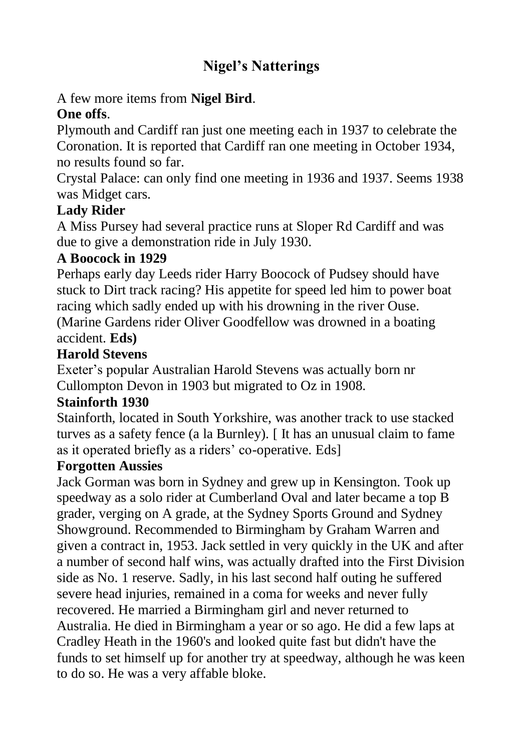# **Nigel's Natterings**

# A few more items from **Nigel Bird**.

# **One offs**.

Plymouth and Cardiff ran just one meeting each in 1937 to celebrate the Coronation. It is reported that Cardiff ran one meeting in October 1934, no results found so far.

Crystal Palace: can only find one meeting in 1936 and 1937. Seems 1938 was Midget cars.

# **Lady Rider**

A Miss Pursey had several practice runs at Sloper Rd Cardiff and was due to give a demonstration ride in July 1930.

### **A Boocock in 1929**

Perhaps early day Leeds rider Harry Boocock of Pudsey should have stuck to Dirt track racing? His appetite for speed led him to power boat racing which sadly ended up with his drowning in the river Ouse. (Marine Gardens rider Oliver Goodfellow was drowned in a boating accident. **Eds)**

# **Harold Stevens**

Exeter"s popular Australian Harold Stevens was actually born nr Cullompton Devon in 1903 but migrated to Oz in 1908.

# **Stainforth 1930**

Stainforth, located in South Yorkshire, was another track to use stacked turves as a safety fence (a la Burnley). [ It has an unusual claim to fame as it operated briefly as a riders' co-operative. Eds]

# **Forgotten Aussies**

Jack Gorman was born in Sydney and grew up in Kensington. Took up speedway as a solo rider at Cumberland Oval and later became a top B grader, verging on A grade, at the Sydney Sports Ground and Sydney Showground. Recommended to Birmingham by Graham Warren and given a contract in, 1953. Jack settled in very quickly in the UK and after a number of second half wins, was actually drafted into the First Division side as No. 1 reserve. Sadly, in his last second half outing he suffered severe head injuries, remained in a coma for weeks and never fully recovered. He married a Birmingham girl and never returned to Australia. He died in Birmingham a year or so ago. He did a few laps at Cradley Heath in the 1960's and looked quite fast but didn't have the funds to set himself up for another try at speedway, although he was keen to do so. He was a very affable bloke.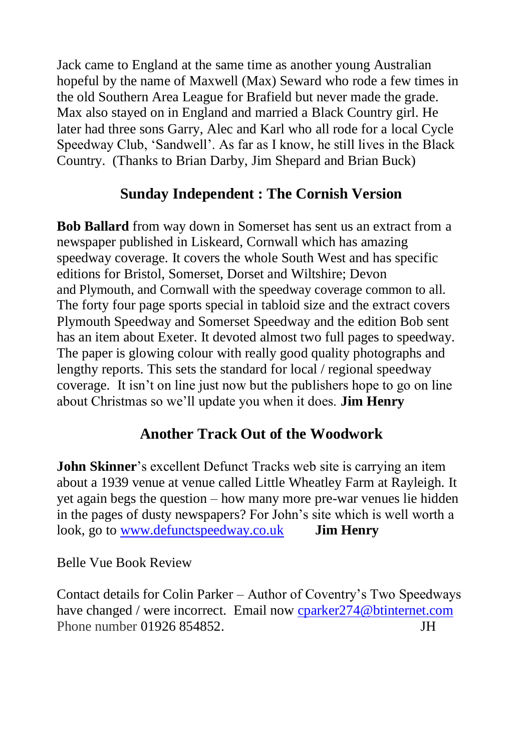Jack came to England at the same time as another young Australian hopeful by the name of Maxwell (Max) Seward who rode a few times in the old Southern Area League for Brafield but never made the grade. Max also stayed on in England and married a Black Country girl. He later had three sons Garry, Alec and Karl who all rode for a local Cycle Speedway Club, "Sandwell". As far as I know, he still lives in the Black Country. (Thanks to Brian Darby, Jim Shepard and Brian Buck)

# **Sunday Independent : The Cornish Version**

**Bob Ballard** from way down in Somerset has sent us an extract from a newspaper published in Liskeard, Cornwall which has amazing speedway coverage. It covers the whole South West and has specific editions for Bristol, Somerset, Dorset and Wiltshire; Devon and Plymouth, and Cornwall with the speedway coverage common to all. The forty four page sports special in tabloid size and the extract covers Plymouth Speedway and Somerset Speedway and the edition Bob sent has an item about Exeter. It devoted almost two full pages to speedway. The paper is glowing colour with really good quality photographs and lengthy reports. This sets the standard for local / regional speedway coverage. It isn"t on line just now but the publishers hope to go on line about Christmas so we"ll update you when it does. **Jim Henry**

# **Another Track Out of the Woodwork**

**John Skinner**'s excellent Defunct Tracks web site is carrying an item about a 1939 venue at venue called Little Wheatley Farm at Rayleigh. It yet again begs the question – how many more pre-war venues lie hidden in the pages of dusty newspapers? For John"s site which is well worth a look, go to [www.defunctspeedway.co.uk](http://www.defunctspeedway.co.uk/) **Jim Henry**

Belle Vue Book Review

Contact details for Colin Parker – Author of Coventry"s Two Speedways have changed / were incorrect. Email now cparker274@btinternet.com Phone number 01926 854852. **JH**